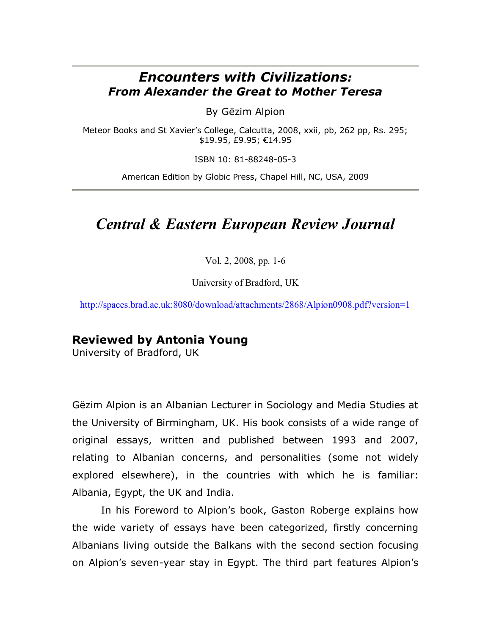## *Encounters with Civilizations: From Alexander the Great to Mother Teresa*

By Gëzim Alpion

Meteor Books and St Xavier's College, Calcutta, 2008, xxii, pb, 262 pp, Rs. 295; \$19.95, £9.95; €14.95

ISBN 10: 81-88248-05-3

American Edition by Globic Press, Chapel Hill, NC, USA, 2009

## *Central & Eastern European Review Journal*

Vol. 2, 2008, pp. 1-6

University of Bradford, UK

<http://spaces.brad.ac.uk:8080/download/attachments/2868/Alpion0908.pdf?version=1>

## **Reviewed by Antonia Young**

University of Bradford, UK

Gëzim Alpion is an Albanian Lecturer in Sociology and Media Studies at the University of Birmingham, UK. His book consists of a wide range of original essays, written and published between 1993 and 2007, relating to Albanian concerns, and personalities (some not widely explored elsewhere), in the countries with which he is familiar: Albania, Egypt, the UK and India.

In his Foreword to Alpion's book, Gaston Roberge explains how the wide variety of essays have been categorized, firstly concerning Albanians living outside the Balkans with the second section focusing on Alpion's seven-year stay in Egypt. The third part features Alpion's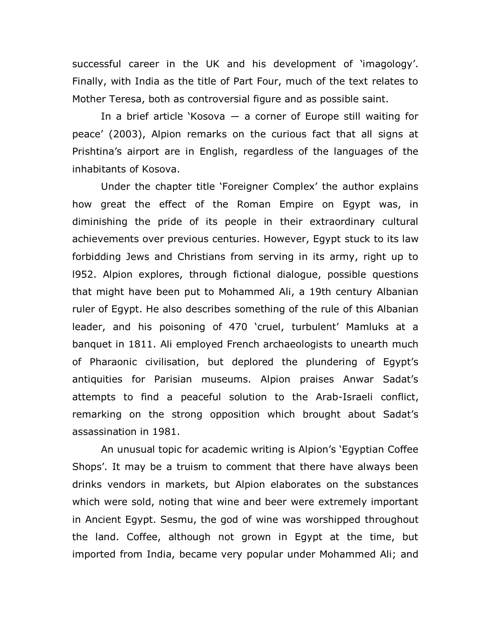successful career in the UK and his development of 'imagology'. Finally, with India as the title of Part Four, much of the text relates to Mother Teresa, both as controversial figure and as possible saint.

In a brief article 'Kosova  $-$  a corner of Europe still waiting for peace' (2003), Alpion remarks on the curious fact that all signs at Prishtina's airport are in English, regardless of the languages of the inhabitants of Kosova.

Under the chapter title 'Foreigner Complex' the author explains how great the effect of the Roman Empire on Egypt was, in diminishing the pride of its people in their extraordinary cultural achievements over previous centuries. However, Egypt stuck to its law forbidding Jews and Christians from serving in its army, right up to l952. Alpion explores, through fictional dialogue, possible questions that might have been put to Mohammed Ali, a 19th century Albanian ruler of Egypt. He also describes something of the rule of this Albanian leader, and his poisoning of 470 'cruel, turbulent' Mamluks at a banquet in 1811. Ali employed French archaeologists to unearth much of Pharaonic civilisation, but deplored the plundering of Egypt's antiquities for Parisian museums. Alpion praises Anwar Sadat's attempts to find a peaceful solution to the Arab-Israeli conflict, remarking on the strong opposition which brought about Sadat's assassination in 1981.

An unusual topic for academic writing is Alpion's 'Egyptian Coffee Shops'. It may be a truism to comment that there have always been drinks vendors in markets, but Alpion elaborates on the substances which were sold, noting that wine and beer were extremely important in Ancient Egypt. Sesmu, the god of wine was worshipped throughout the land. Coffee, although not grown in Egypt at the time, but imported from India, became very popular under Mohammed Ali; and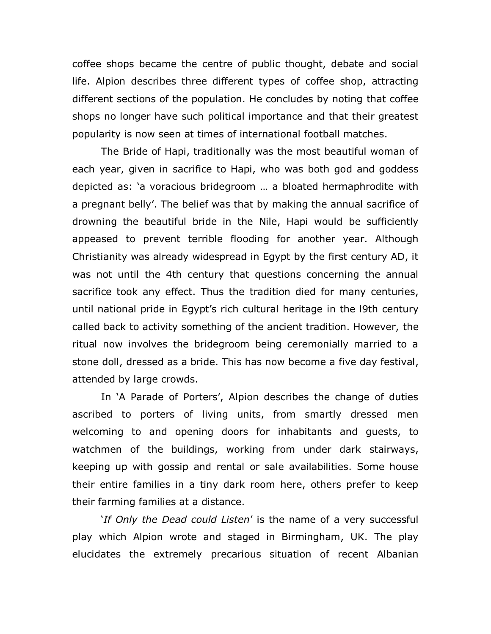coffee shops became the centre of public thought, debate and social life. Alpion describes three different types of coffee shop, attracting different sections of the population. He concludes by noting that coffee shops no longer have such political importance and that their greatest popularity is now seen at times of international football matches.

The Bride of Hapi, traditionally was the most beautiful woman of each year, given in sacrifice to Hapi, who was both god and goddess depicted as: 'a voracious bridegroom … a bloated hermaphrodite with a pregnant belly'. The belief was that by making the annual sacrifice of drowning the beautiful bride in the Nile, Hapi would be sufficiently appeased to prevent terrible flooding for another year. Although Christianity was already widespread in Egypt by the first century AD, it was not until the 4th century that questions concerning the annual sacrifice took any effect. Thus the tradition died for many centuries, until national pride in Egypt's rich cultural heritage in the l9th century called back to activity something of the ancient tradition. However, the ritual now involves the bridegroom being ceremonially married to a stone doll, dressed as a bride. This has now become a five day festival, attended by large crowds.

In 'A Parade of Porters', Alpion describes the change of duties ascribed to porters of living units, from smartly dressed men welcoming to and opening doors for inhabitants and guests, to watchmen of the buildings, working from under dark stairways, keeping up with gossip and rental or sale availabilities. Some house their entire families in a tiny dark room here, others prefer to keep their farming families at a distance.

'*If Only the Dead could Listen*' is the name of a very successful play which Alpion wrote and staged in Birmingham, UK. The play elucidates the extremely precarious situation of recent Albanian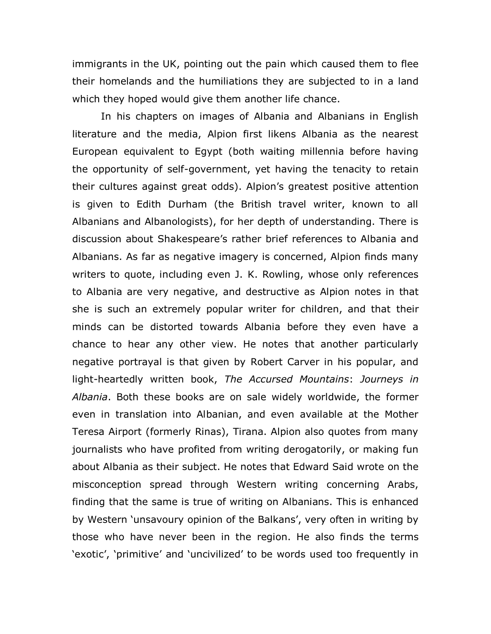immigrants in the UK, pointing out the pain which caused them to flee their homelands and the humiliations they are subjected to in a land which they hoped would give them another life chance.

In his chapters on images of Albania and Albanians in English literature and the media, Alpion first likens Albania as the nearest European equivalent to Egypt (both waiting millennia before having the opportunity of self-government, yet having the tenacity to retain their cultures against great odds). Alpion's greatest positive attention is given to Edith Durham (the British travel writer, known to all Albanians and Albanologists), for her depth of understanding. There is discussion about Shakespeare's rather brief references to Albania and Albanians. As far as negative imagery is concerned, Alpion finds many writers to quote, including even J. K. Rowling, whose only references to Albania are very negative, and destructive as Alpion notes in that she is such an extremely popular writer for children, and that their minds can be distorted towards Albania before they even have a chance to hear any other view. He notes that another particularly negative portrayal is that given by Robert Carver in his popular, and light-heartedly written book, *The Accursed Mountains*: *Journeys in Albania*. Both these books are on sale widely worldwide, the former even in translation into Albanian, and even available at the Mother Teresa Airport (formerly Rinas), Tirana. Alpion also quotes from many journalists who have profited from writing derogatorily, or making fun about Albania as their subject. He notes that Edward Said wrote on the misconception spread through Western writing concerning Arabs, finding that the same is true of writing on Albanians. This is enhanced by Western 'unsavoury opinion of the Balkans', very often in writing by those who have never been in the region. He also finds the terms 'exotic', 'primitive' and 'uncivilized' to be words used too frequently in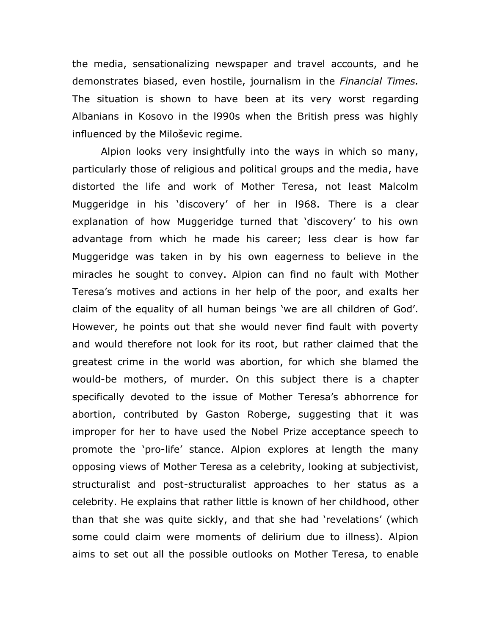the media, sensationalizing newspaper and travel accounts, and he demonstrates biased, even hostile, journalism in the *Financial Times.*  The situation is shown to have been at its very worst regarding Albanians in Kosovo in the l990s when the British press was highly influenced by the Miloševic regime.

Alpion looks very insightfully into the ways in which so many, particularly those of religious and political groups and the media, have distorted the life and work of Mother Teresa, not least Malcolm Muggeridge in his 'discovery' of her in l968. There is a clear explanation of how Muggeridge turned that 'discovery' to his own advantage from which he made his career; less clear is how far Muggeridge was taken in by his own eagerness to believe in the miracles he sought to convey. Alpion can find no fault with Mother Teresa's motives and actions in her help of the poor, and exalts her claim of the equality of all human beings 'we are all children of God'. However, he points out that she would never find fault with poverty and would therefore not look for its root, but rather claimed that the greatest crime in the world was abortion, for which she blamed the would-be mothers, of murder. On this subject there is a chapter specifically devoted to the issue of Mother Teresa's abhorrence for abortion, contributed by Gaston Roberge, suggesting that it was improper for her to have used the Nobel Prize acceptance speech to promote the 'pro-life' stance. Alpion explores at length the many opposing views of Mother Teresa as a celebrity, looking at subjectivist, structuralist and post-structuralist approaches to her status as a celebrity. He explains that rather little is known of her childhood, other than that she was quite sickly, and that she had 'revelations' (which some could claim were moments of delirium due to illness). Alpion aims to set out all the possible outlooks on Mother Teresa, to enable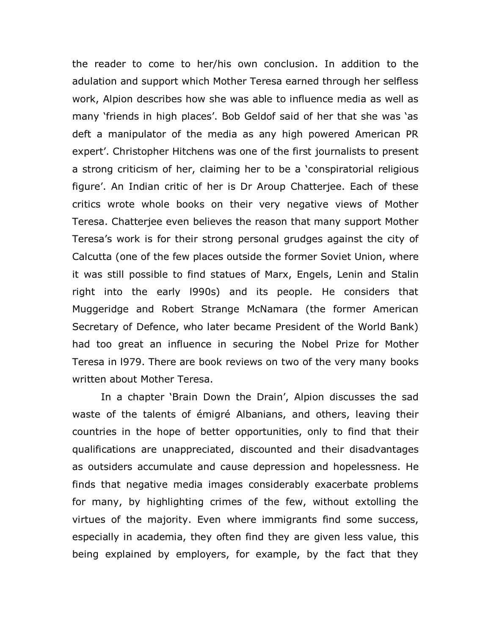the reader to come to her/his own conclusion. In addition to the adulation and support which Mother Teresa earned through her selfless work, Alpion describes how she was able to influence media as well as many 'friends in high places'. Bob Geldof said of her that she was 'as deft a manipulator of the media as any high powered American PR expert'. Christopher Hitchens was one of the first journalists to present a strong criticism of her, claiming her to be a 'conspiratorial religious figure'. An Indian critic of her is Dr Aroup Chatterjee. Each of these critics wrote whole books on their very negative views of Mother Teresa. Chatterjee even believes the reason that many support Mother Teresa's work is for their strong personal grudges against the city of Calcutta (one of the few places outside the former Soviet Union, where it was still possible to find statues of Marx, Engels, Lenin and Stalin right into the early l990s) and its people. He considers that Muggeridge and Robert Strange McNamara (the former American Secretary of Defence, who later became President of the World Bank) had too great an influence in securing the Nobel Prize for Mother Teresa in l979. There are book reviews on two of the very many books written about Mother Teresa.

In a chapter 'Brain Down the Drain', Alpion discusses the sad waste of the talents of émigré Albanians, and others, leaving their countries in the hope of better opportunities, only to find that their qualifications are unappreciated, discounted and their disadvantages as outsiders accumulate and cause depression and hopelessness. He finds that negative media images considerably exacerbate problems for many, by highlighting crimes of the few, without extolling the virtues of the majority. Even where immigrants find some success, especially in academia, they often find they are given less value, this being explained by employers, for example, by the fact that they